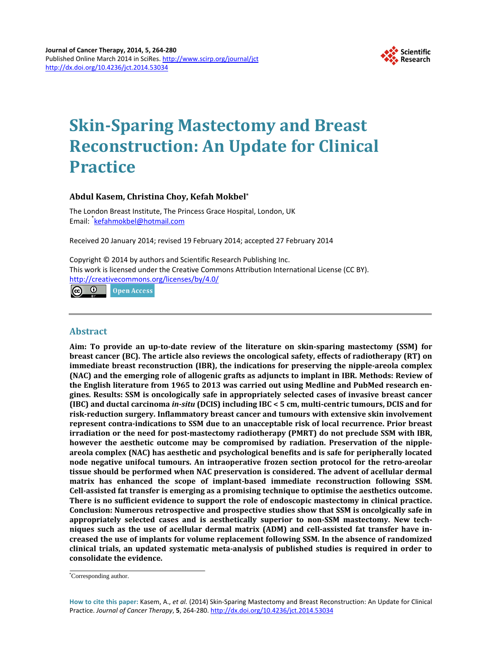

# **Skin-Sparing Mastectomy and Breast Reconstruction: An Update for Clinical Practice**

# **Abdul Kasem, Christina Choy, Kefah Mokbel\***

The London Breast Institute, The Princess Grace Hospital, London, UK Email: <sup>\*</sup>[kefahmokbel@hotmail.com](mailto:kefahmokbel@hotmail.com)

Received 20 January 2014; revised 19 February 2014; accepted 27 February 2014

Copyright © 2014 by authors and Scientific Research Publishing Inc. This work is licensed under the Creative Commons Attribution International License (CC BY). <http://creativecommons.org/licenses/by/4.0/>

 $\bullet$ **Open Access** 

# **Abstract**

**Aim: To provide an up-to-date review of the literature on skin-sparing mastectomy (SSM) for breast cancer (BC). The article also reviews the oncological safety, effects of radiotherapy (RT) on immediate breast reconstruction (IBR), the indications for preserving the nipple-areola complex (NAC) and the emerging role of allogenic grafts as adjuncts to implant in IBR. Methods: Review of the English literature from 1965 to 2013 was carried out using Medline and PubMed research engines. Results: SSM is oncologically safe in appropriately selected cases of invasive breast cancer (IBC) and ductal carcinoma** *in-situ* **(DCIS) including IBC < 5 cm, multi-centric tumours, DCIS and for risk-reduction surgery. Inflammatory breast cancer and tumours with extensive skin involvement represent contra-indications to SSM due to an unacceptable risk of local recurrence. Prior breast irradiation or the need for post-mastectomy radiotherapy (PMRT) do not preclude SSM with IBR, however the aesthetic outcome may be compromised by radiation. Preservation of the nippleareola complex (NAC) has aesthetic and psychological benefits and is safe for peripherally located node negative unifocal tumours. An intraoperative frozen section protocol for the retro-areolar tissue should be performed when NAC preservation is considered. The advent of acellular dermal matrix has enhanced the scope of implant-based immediate reconstruction following SSM. Cell-assisted fat transfer is emerging as a promising technique to optimise the aesthetics outcome. There is no sufficient evidence to support the role of endoscopic mastectomy in clinical practice. Conclusion: Numerous retrospective and prospective studies show that SSM is oncolgically safe in appropriately selected cases and is aesthetically superior to non-SSM mastectomy. New techniques such as the use of acellular dermal matrix (ADM) and cell-assisted fat transfer have increased the use of implants for volume replacement following SSM. In the absence of randomized clinical trials, an updated systematic meta-analysis of published studies is required in order to consolidate the evidence.**

**How to cite this paper:** Kasem, A., *et al.* (2014) Skin-Sparing Mastectomy and Breast Reconstruction: An Update for Clinical Practice. *Journal of Cancer Therapy*, **5**, 264-280. <http://dx.doi.org/10.4236/jct.2014.53034>

<sup>\*</sup> Corresponding author.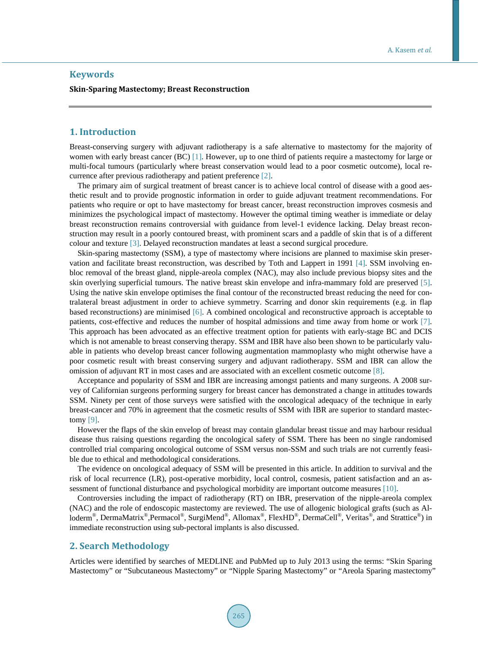# **Keywords**

## **Skin-Sparing Mastectomy; Breast Reconstruction**

# **1. Introduction**

Breast-conserving surgery with adjuvant radiotherapy is a safe alternative to mastectomy for the majority of women with early breast cancer (BC[\) \[1\].](#page-11-0) However, up to one third of patients require a mastectomy for large or multi-focal tumours (particularly where breast conservation would lead to a poor cosmetic outcome), local recurrence after previous radiotherapy and patient preferenc[e \[2\].](#page-11-1) 

The primary aim of surgical treatment of breast cancer is to achieve local control of disease with a good aesthetic result and to provide prognostic information in order to guide adjuvant treatment recommendations. For patients who require or opt to have mastectomy for breast cancer, breast reconstruction improves cosmesis and minimizes the psychological impact of mastectomy. However the optimal timing weather is immediate or delay breast reconstruction remains controversial with guidance from level-1 evidence lacking. Delay breast reconstruction may result in a poorly contoured breast, with prominent scars and a paddle of skin that is of a different colour and texture [\[3\].](#page-11-2) Delayed reconstruction mandates at least a second surgical procedure.

Skin-sparing mastectomy (SSM), a type of mastectomy where incisions are planned to maximise skin preservation and facilitate breast reconstruction, was described by Toth and Lappert in 1991 [\[4\].](#page-12-0) SSM involving enbloc removal of the breast gland, nipple-areola complex (NAC), may also include previous biopsy sites and the skin overlying superficial tumours. The native breast skin envelope and infra-mammary fold are preserved [\[5\].](#page-12-1) Using the native skin envelope optimises the final contour of the reconstructed breast reducing the need for contralateral breast adjustment in order to achieve symmetry. Scarring and donor skin requirements (e.g. in flap based reconstructions) are minimised [\[6\].](#page-12-2) A combined oncological and reconstructive approach is acceptable to patients, cost-effective and reduces the number of hospital admissions and time away from home or work [\[7\].](#page-12-3) This approach has been advocated as an effective treatment option for patients with early-stage BC and DCIS which is not amenable to breast conserving therapy. SSM and IBR have also been shown to be particularly valuable in patients who develop breast cancer following augmentation mammoplasty who might otherwise have a poor cosmetic result with breast conserving surgery and adjuvant radiotherapy. SSM and IBR can allow the omission of adjuvant RT in most cases and are associated with an excellent cosmetic outcome [\[8\].](#page-12-4)

Acceptance and popularity of SSM and IBR are increasing amongst patients and many surgeons. A 2008 survey of Californian surgeons performing surgery for breast cancer has demonstrated a change in attitudes towards SSM. Ninety per cent of those surveys were satisfied with the oncological adequacy of the technique in early breast-cancer and 70% in agreement that the cosmetic results of SSM with IBR are superior to standard mastectomy [\[9\].](#page-12-5)

However the flaps of the skin envelop of breast may contain glandular breast tissue and may harbour residual disease thus raising questions regarding the oncological safety of SSM. There has been no single randomised controlled trial comparing oncological outcome of SSM versus non-SSM and such trials are not currently feasible due to ethical and methodological considerations.

The evidence on oncological adequacy of SSM will be presented in this article. In addition to survival and the risk of local recurrence (LR), post-operative morbidity, local control, cosmesis, patient satisfaction and an assessment of functional disturbance and psychological morbidity are important outcome measures [\[10\].](#page-12-6)

Controversies including the impact of radiotherapy (RT) on IBR, preservation of the nipple-areola complex (NAC) and the role of endoscopic mastectomy are reviewed. The use of allogenic biological grafts (such as Alloderm®, DermaMatrix®,Permacol®, SurgiMend®, Allomax®, FlexHD®, DermaCell®, Veritas®, and Strattice®) in immediate reconstruction using sub-pectoral implants is also discussed.

# **2. Search Methodology**

Articles were identified by searches of MEDLINE and PubMed up to July 2013 using the terms: "Skin Sparing Mastectomy" or "Subcutaneous Mastectomy" or "Nipple Sparing Mastectomy" or "Areola Sparing mastectomy"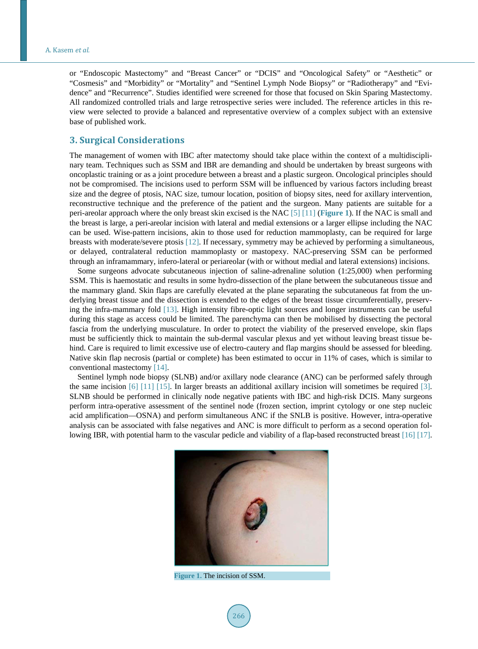or "Endoscopic Mastectomy" and "Breast Cancer" or "DCIS" and "Oncological Safety" or "Aesthetic" or "Cosmesis" and "Morbidity" or "Mortality" and "Sentinel Lymph Node Biopsy" or "Radiotherapy" and "Evidence" and "Recurrence". Studies identified were screened for those that focused on Skin Sparing Mastectomy. All randomized controlled trials and large retrospective series were included. The reference articles in this review were selected to provide a balanced and representative overview of a complex subject with an extensive base of published work.

# **3. Surgical Considerations**

The management of women with IBC after matectomy should take place within the context of a multidisciplinary team. Techniques such as SSM and IBR are demanding and should be undertaken by breast surgeons with oncoplastic training or as a joint procedure between a breast and a plastic surgeon. Oncological principles should not be compromised. The incisions used to perform SSM will be influenced by various factors including breast size and the degree of ptosis, NAC size, tumour location, position of biopsy sites, need for axillary intervention, reconstructive technique and the preference of the patient and the surgeon. Many patients are suitable for a peri-areolar approach where the only breast skin excised is the NA[C \[5\]](#page-12-1) [\[11\]](#page-12-7) (**[Figure 1](#page-2-0)**). If the NAC is small and the breast is large, a peri-areolar incision with lateral and medial extensions or a larger ellipse including the NAC can be used. Wise-pattern incisions, akin to those used for reduction mammoplasty, can be required for large breasts with moderate/severe ptosis [\[12\].](#page-12-8) If necessary, symmetry may be achieved by performing a simultaneous, or delayed, contralateral reduction mammoplasty or mastopexy. NAC-preserving SSM can be performed through an inframammary, infero-lateral or periareolar (with or without medial and lateral extensions) incisions.

Some surgeons advocate subcutaneous injection of saline-adrenaline solution (1:25,000) when performing SSM. This is haemostatic and results in some hydro-dissection of the plane between the subcutaneous tissue and the mammary gland. Skin flaps are carefully elevated at the plane separating the subcutaneous fat from the underlying breast tissue and the dissection is extended to the edges of the breast tissue circumferentially, preserving the infra-mammary fold [\[13\].](#page-12-9) High intensity fibre-optic light sources and longer instruments can be useful during this stage as access could be limited. The parenchyma can then be mobilised by dissecting the pectoral fascia from the underlying musculature. In order to protect the viability of the preserved envelope, skin flaps must be sufficiently thick to maintain the sub-dermal vascular plexus and yet without leaving breast tissue behind. Care is required to limit excessive use of electro-cautery and flap margins should be assessed for bleeding. Native skin flap necrosis (partial or complete) has been estimated to occur in 11% of cases, which is similar to conventional mastectom[y \[14\].](#page-12-10)

<span id="page-2-0"></span>Sentinel lymph node biopsy (SLNB) and/or axillary node clearance (ANC) can be performed safely through the same incision [\[6\]](#page-12-2) [\[11\]](#page-12-7) [\[15\].](#page-12-11) In larger breasts an additional axillary incision will sometimes be required [\[3\].](#page-11-2) SLNB should be performed in clinically node negative patients with IBC and high-risk DCIS. Many surgeons perform intra-operative assessment of the sentinel node (frozen section, imprint cytology or one step nucleic acid amplification—OSNA) and perform simultaneous ANC if the SNLB is positive. However, intra-operative analysis can be associated with false negatives and ANC is more difficult to perform as a second operation following IBR, with potential harm to the vascular pedicle and viability of a flap-based reconstructed breast [\[16\]](#page-12-12) [\[17\].](#page-12-13)



**Figure 1.** The incision of SSM.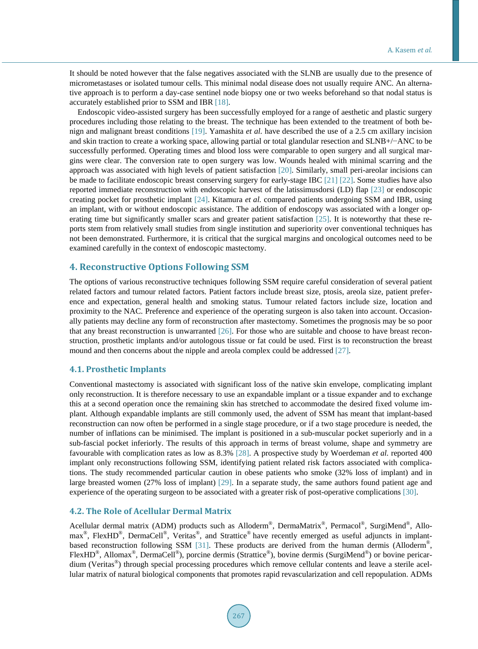It should be noted however that the false negatives associated with the SLNB are usually due to the presence of micrometastases or isolated tumour cells. This minimal nodal disease does not usually require ANC. An alternative approach is to perform a day-case sentinel node biopsy one or two weeks beforehand so that nodal status is accurately established prior to SSM and IBR [\[18\].](#page-12-14)

Endoscopic video-assisted surgery has been successfully employed for a range of aesthetic and plastic surgery procedures including those relating to the breast. The technique has been extended to the treatment of both benign and malignant breast conditions [\[19\].](#page-12-15) Yamashita *et al.* have described the use of a 2.5 cm axillary incision and skin traction to create a working space, allowing partial or total glandular resection and SLNB+/−ANC to be successfully performed. Operating times and blood loss were comparable to open surgery and all surgical margins were clear. The conversion rate to open surgery was low. Wounds healed with minimal scarring and the approach was associated with high levels of patient satisfaction [\[20\].](#page-12-16) Similarly, small peri-areolar incisions can be made to facilitate endoscopic breast conserving surgery for early-stage IBC [\[21\]](#page-12-17) [\[22\].](#page-12-18) Some studies have also reported immediate reconstruction with endoscopic harvest of the latissimusdorsi (LD) flap [\[23\]](#page-12-19) or endoscopic creating pocket for prosthetic implant [\[24\].](#page-12-20) Kitamura *et al.* compared patients undergoing SSM and IBR, using an implant, with or without endoscopic assistance. The addition of endoscopy was associated with a longer op-erating time but significantly smaller scars and greater patient satisfaction [\[25\].](#page-12-21) It is noteworthy that these reports stem from relatively small studies from single institution and superiority over conventional techniques has not been demonstrated. Furthermore, it is critical that the surgical margins and oncological outcomes need to be examined carefully in the context of endoscopic mastectomy.

## **4. Reconstructive Options Following SSM**

The options of various reconstructive techniques following SSM require careful consideration of several patient related factors and tumour related factors. Patient factors include breast size, ptosis, areola size, patient preference and expectation, general health and smoking status. Tumour related factors include size, location and proximity to the NAC. Preference and experience of the operating surgeon is also taken into account. Occasionally patients may decline any form of reconstruction after mastectomy. Sometimes the prognosis may be so poor that any breast reconstruction is unwarranted [\[26\].](#page-13-0) For those who are suitable and choose to have breast reconstruction, prosthetic implants and/or autologous tissue or fat could be used. First is to reconstruction the breast mound and then concerns about the nipple and areola complex could be addressed [\[27\].](#page-13-1)

#### **4.1. Prosthetic Implants**

Conventional mastectomy is associated with significant loss of the native skin envelope, complicating implant only reconstruction. It is therefore necessary to use an expandable implant or a tissue expander and to exchange this at a second operation once the remaining skin has stretched to accommodate the desired fixed volume implant. Although expandable implants are still commonly used, the advent of SSM has meant that implant-based reconstruction can now often be performed in a single stage procedure, or if a two stage procedure is needed, the number of inflations can be minimised. The implant is positioned in a sub-muscular pocket superiorly and in a sub-fascial pocket inferiorly. The results of this approach in terms of breast volume, shape and symmetry are favourable with complication rates as low as 8.3% [\[28\].](#page-13-2) A prospective study by Woerdeman *et al.* reported 400 implant only reconstructions following SSM, identifying patient related risk factors associated with complications. The study recommended particular caution in obese patients who smoke (32% loss of implant) and in large breasted women (27% loss of implant) [\[29\].](#page-13-3) In a separate study, the same authors found patient age and experience of the operating surgeon to be associated with a greater risk of post-operative complications [\[30\].](#page-13-4)

#### **4.2. The Role of Acellular Dermal Matrix**

Acellular dermal matrix (ADM) products such as Alloderm®, DermaMatrix®, Permacol®, SurgiMend®, Allomax<sup>®</sup>, FlexHD<sup>®</sup>, DermaCell<sup>®</sup>, Veritas<sup>®</sup>, and Strattice<sup>®</sup> have recently emerged as useful adjuncts in implant-based reconstruction following SSM [\[31\].](#page-13-5) These products are derived from the human dermis (Alloderm<sup>®</sup>, FlexHD®, Allomax®, DermaCell®), porcine dermis (Strattice®), bovine dermis (SurgiMend®) or bovine pericardium (Veritas®) through special processing procedures which remove cellular contents and leave a sterile acellular matrix of natural biological components that promotes rapid revascularization and cell repopulation. ADMs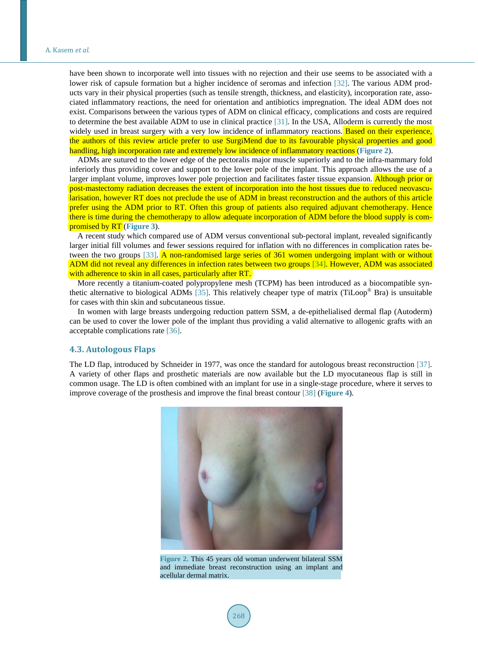have been shown to incorporate well into tissues with no rejection and their use seems to be associated with a lower risk of capsule formation but a higher incidence of seromas and infection [\[32\].](#page-13-6) The various ADM products vary in their physical properties (such as tensile strength, thickness, and elasticity), incorporation rate, associated inflammatory reactions, the need for orientation and antibiotics impregnation. The ideal ADM does not exist. Comparisons between the various types of ADM on clinical efficacy, complications and costs are required to determine the best available ADM to use in clinical practice [\[31\].](#page-13-5) In the USA, Alloderm is currently the most widely used in breast surgery with a very low incidence of inflammatory reactions. **Based on their experience,** the authors of this review article prefer to use SurgiMend due to its favourable physical properties and good handling, high incorporation rate and extremely low incidence of inflammatory reactions (**[Figure 2](#page-4-0)**).

ADMs are sutured to the lower edge of the pectoralis major muscle superiorly and to the infra-mammary fold inferiorly thus providing cover and support to the lower pole of the implant. This approach allows the use of a larger implant volume, improves lower pole projection and facilitates faster tissue expansion. Although prior or post-mastectomy radiation decreases the extent of incorporation into the host tissues due to reduced neovascularisation, however RT does not preclude the use of ADM in breast reconstruction and the authors of this article prefer using the ADM prior to RT. Often this group of patients also required adjuvant chemotherapy. Hence there is time during the chemotherapy to allow adequate incorporation of ADM before the blood supply is compromised by RT (**[Figure 3](#page-5-0)**).

A recent study which compared use of ADM versus conventional sub-pectoral implant, revealed significantly larger initial fill volumes and fewer sessions required for inflation with no differences in complication rates between the two groups [\[33\].](#page-13-7) A non-randomised large series of 361 women undergoing implant with or without ADM did not reveal any differences in infection rates between two groups [\[34\].](#page-13-8) However, ADM was associated with adherence to skin in all cases, particularly after RT.

More recently a titanium-coated polypropylene mesh (TCPM) has been introduced as a biocompatible synthetic alternative to biological ADMs [\[35\].](#page-13-9) This relatively cheaper type of matrix (TiLoop® Bra) is unsuitable for cases with thin skin and subcutaneous tissue.

In women with large breasts undergoing reduction pattern SSM, a de-epithelialised dermal flap (Autoderm) can be used to cover the lower pole of the implant thus providing a valid alternative to allogenic grafts with an acceptable complications rate [\[36\].](#page-13-10)

## **4.3. Autologous Flaps**

<span id="page-4-0"></span>The LD flap, introduced by Schneider in 1977, was once the standard for autologous breast reconstruction [\[37\].](#page-13-11) A variety of other flaps and prosthetic materials are now available but the LD myocutaneous flap is still in common usage. The LD is often combined with an implant for use in a single-stage procedure, where it serves to improve coverage of the prosthesis and improve the final breast contour [\[38\]](#page-13-12) (**[Figure 4](#page-5-1)**).



**Figure 2.** This 45 years old woman underwent bilateral SSM and immediate breast reconstruction using an implant and acellular dermal matrix.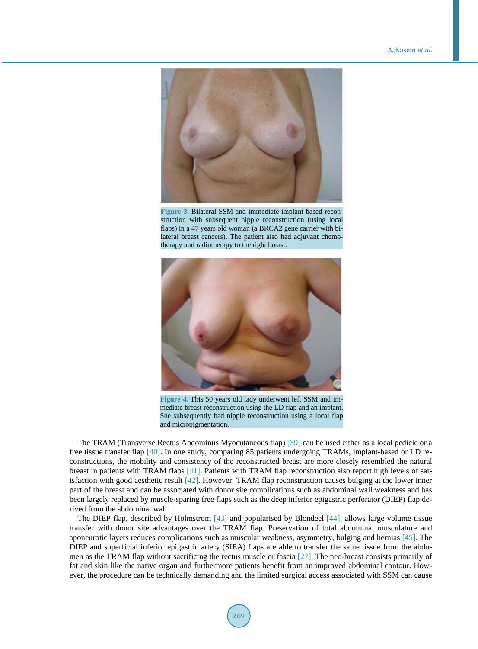<span id="page-5-0"></span>

**Figure 3.** Bilateral SSM and immediate implant based reconstruction with subsequent nipple reconstruction (using local flaps) in a 47 years old woman (a BRCA2 gene carrier with bilateral breast cancers). The patient also had adjuvant chemotherapy and radiotherapy to the right breast.

<span id="page-5-1"></span>

**Figure 4.** This 50 years old lady underwent left SSM and immediate breast reconstruction using the LD flap and an implant. She subsequently had nipple reconstruction using a local flap and micropigmentation.

The TRAM (Transverse Rectus Abdominus Myocutaneous flap) [\[39\]](#page-13-13) can be used either as a local pedicle or a free tissue transfer flap [\[40\].](#page-13-14) In one study, comparing 85 patients undergoing TRAMs, implant-based or LD reconstructions, the mobility and consistency of the reconstructed breast are more closely resembled the natural breast in patients with TRAM flaps [\[41\].](#page-13-15) Patients with TRAM flap reconstruction also report high levels of satisfaction with good aesthetic result [\[42\].](#page-13-16) However, TRAM flap reconstruction causes bulging at the lower inner part of the breast and can be associated with donor site complications such as abdominal wall weakness and has been largely replaced by muscle-sparing free flaps such as the deep inferior epigastric perforator (DIEP) flap derived from the abdominal wall.

The DIEP flap, described by Holmstrom [\[43\]](#page-13-17) and popularised by Blondeel [\[44\],](#page-13-18) allows large volume tissue transfer with donor site advantages over the TRAM flap. Preservation of total abdominal musculature and aponeurotic layers reduces complications such as muscular weakness, asymmetry, bulging and hernias [\[45\].](#page-13-19) The DIEP and superficial inferior epigastric artery (SIEA) flaps are able to transfer the same tissue from the abdomen as the TRAM flap without sacrificing the rectus muscle or fascia [\[27\].](#page-13-1) The neo-breast consists primarily of fat and skin like the native organ and furthermore patients benefit from an improved abdominal contour. However, the procedure can be technically demanding and the limited surgical access associated with SSM can cause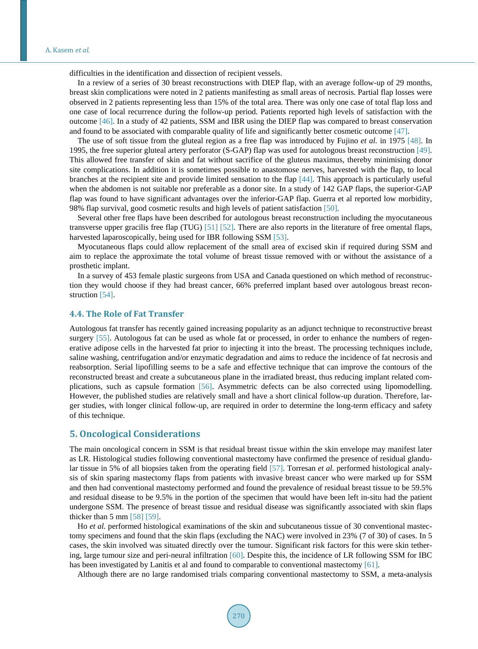difficulties in the identification and dissection of recipient vessels.

In a review of a series of 30 breast reconstructions with DIEP flap, with an average follow-up of 29 months, breast skin complications were noted in 2 patients manifesting as small areas of necrosis. Partial flap losses were observed in 2 patients representing less than 15% of the total area. There was only one case of total flap loss and one case of local recurrence during the follow-up period. Patients reported high levels of satisfaction with the outcome [\[46\].](#page-14-0) In a study of 42 patients, SSM and IBR using the DIEP flap was compared to breast conservation and found to be associated with comparable quality of life and significantly better cosmetic outcome [\[47\].](#page-14-1)

The use of soft tissue from the gluteal region as a free flap was introduced by Fujino *et al.* in 1975 [\[48\].](#page-14-2) In 1995, the free superior gluteal artery perforator (S-GAP) flap was used for autologous breast reconstruction [\[49\].](#page-14-3) This allowed free transfer of skin and fat without sacrifice of the gluteus maximus, thereby minimising donor site complications. In addition it is sometimes possible to anastomose nerves, harvested with the flap, to local branches at the recipient site and provide limited sensation to the flap [\[44\].](#page-13-18) This approach is particularly useful when the abdomen is not suitable nor preferable as a donor site. In a study of 142 GAP flaps, the superior-GAP flap was found to have significant advantages over the inferior-GAP flap. Guerra et al reported low morbidity, 98% flap survival, good cosmetic results and high levels of patient satisfactio[n \[50\].](#page-14-4)

Several other free flaps have been described for autologous breast reconstruction including the myocutaneous transverse upper gracilis free flap (TUG) [\[51\]](#page-14-5) [\[52\].](#page-14-6) There are also reports in the literature of free omental flaps, harvested laparoscopically, being used for IBR following SSM [\[53\].](#page-14-7)

Myocutaneous flaps could allow replacement of the small area of excised skin if required during SSM and aim to replace the approximate the total volume of breast tissue removed with or without the assistance of a prosthetic implant.

In a survey of 453 female plastic surgeons from USA and Canada questioned on which method of reconstruction they would choose if they had breast cancer, 66% preferred implant based over autologous breast reconstruction [\[54\].](#page-14-8)

#### **4.4. The Role of Fat Transfer**

Autologous fat transfer has recently gained increasing popularity as an adjunct technique to reconstructive breast surgery [\[55\].](#page-14-9) Autologous fat can be used as whole fat or processed, in order to enhance the numbers of regenerative adipose cells in the harvested fat prior to injecting it into the breast. The processing techniques include, saline washing, centrifugation and/or enzymatic degradation and aims to reduce the incidence of fat necrosis and reabsorption. Serial lipofilling seems to be a safe and effective technique that can improve the contours of the reconstructed breast and create a subcutaneous plane in the irradiated breast, thus reducing implant related complications, such as capsule formation [\[56\].](#page-14-10) Asymmetric defects can be also corrected using lipomodelling. However, the published studies are relatively small and have a short clinical follow-up duration. Therefore, larger studies, with longer clinical follow-up, are required in order to determine the long-term efficacy and safety of this technique.

#### **5. Oncological Considerations**

The main oncological concern in SSM is that residual breast tissue within the skin envelope may manifest later as LR. Histological studies following conventional mastectomy have confirmed the presence of residual glandular tissue in 5% of all biopsies taken from the operating field [\[57\].](#page-14-11) Torresan *et al.* performed histological analysis of skin sparing mastectomy flaps from patients with invasive breast cancer who were marked up for SSM and then had conventional mastectomy performed and found the prevalence of residual breast tissue to be 59.5% and residual disease to be 9.5% in the portion of the specimen that would have been left in-situ had the patient undergone SSM. The presence of breast tissue and residual disease was significantly associated with skin flaps thicker than 5 mm [\[58\]](#page-14-12) [\[59\].](#page-14-13)

Ho *et al.* performed histological examinations of the skin and subcutaneous tissue of 30 conventional mastectomy specimens and found that the skin flaps (excluding the NAC) were involved in 23% (7 of 30) of cases. In 5 cases, the skin involved was situated directly over the tumour. Significant risk factors for this were skin tethering, large tumour size and peri-neural infiltration [\[60\].](#page-14-14) Despite this, the incidence of LR following SSM for IBC has been investigated by Lanitis et al and found to comparable to conventional mastectomy [\[61\].](#page-14-15)

Although there are no large randomised trials comparing conventional mastectomy to SSM, a meta-analysis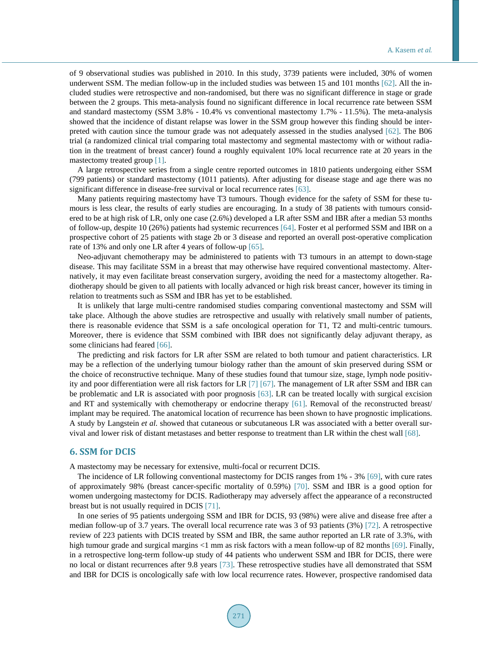of 9 observational studies was published in 2010. In this study, 3739 patients were included, 30% of women underwent SSM. The median follow-up in the included studies was between 15 and 101 months [\[62\].](#page-14-16) All the included studies were retrospective and non-randomised, but there was no significant difference in stage or grade between the 2 groups. This meta-analysis found no significant difference in local recurrence rate between SSM and standard mastectomy (SSM 3.8% - 10.4% vs conventional mastectomy 1.7% - 11.5%). The meta-analysis showed that the incidence of distant relapse was lower in the SSM group however this finding should be interpreted with caution since the tumour grade was not adequately assessed in the studies analysed [\[62\].](#page-14-16) The B06 trial (a randomized clinical trial comparing total mastectomy and segmental mastectomy with or without radiation in the treatment of breast cancer) found a roughly equivalent 10% local recurrence rate at 20 years in the mastectomy treated group [\[1\].](#page-11-0)

A large retrospective series from a single centre reported outcomes in 1810 patients undergoing either SSM (799 patients) or standard mastectomy (1011 patients). After adjusting for disease stage and age there was no significant difference in disease-free survival or local recurrence rates [\[63\].](#page-14-17)

Many patients requiring mastectomy have T3 tumours. Though evidence for the safety of SSM for these tumours is less clear, the results of early studies are encouraging. In a study of 38 patients with tumours considered to be at high risk of LR, only one case (2.6%) developed a LR after SSM and IBR after a median 53 months of follow-up, despite 10 (26%) patients had systemic recurrences [\[64\].](#page-14-18) Foster et al performed SSM and IBR on a prospective cohort of 25 patients with stage 2b or 3 disease and reported an overall post-operative complication rate of 13% and only one LR after 4 years of follow-up [\[65\].](#page-14-19)

Neo-adjuvant chemotherapy may be administered to patients with T3 tumours in an attempt to down-stage disease. This may facilitate SSM in a breast that may otherwise have required conventional mastectomy. Alternatively, it may even facilitate breast conservation surgery, avoiding the need for a mastectomy altogether. Radiotherapy should be given to all patients with locally advanced or high risk breast cancer, however its timing in relation to treatments such as SSM and IBR has yet to be established.

It is unlikely that large multi-centre randomised studies comparing conventional mastectomy and SSM will take place. Although the above studies are retrospective and usually with relatively small number of patients, there is reasonable evidence that SSM is a safe oncological operation for T1, T2 and multi-centric tumours. Moreover, there is evidence that SSM combined with IBR does not significantly delay adjuvant therapy, as some clinicians had feared [\[66\].](#page-15-0)

The predicting and risk factors for LR after SSM are related to both tumour and patient characteristics. LR may be a reflection of the underlying tumour biology rather than the amount of skin preserved during SSM or the choice of reconstructive technique. Many of these studies found that tumour size, stage, lymph node positivity and poor differentiation were all risk factors for LR [\[7\]](#page-12-3) [\[67\].](#page-15-1) The management of LR after SSM and IBR can be problematic and LR is associated with poor prognosis [\[63\].](#page-14-17) LR can be treated locally with surgical excision and RT and systemically with chemotherapy or endocrine therapy [\[61\].](#page-14-15) Removal of the reconstructed breast/ implant may be required. The anatomical location of recurrence has been shown to have prognostic implications. A study by Langstein *et al.* showed that cutaneous or subcutaneous LR was associated with a better overall survival and lower risk of distant metastases and better response to treatment than LR within the chest wall [\[68\].](#page-15-2)

#### **6. SSM for DCIS**

A mastectomy may be necessary for extensive, multi-focal or recurrent DCIS.

The incidence of LR following conventional mastectomy for DCIS ranges from 1% - 3% [\[69\],](#page-15-3) with cure rates of approximately 98% (breast cancer-specific mortality of 0.59%) [\[70\].](#page-15-4) SSM and IBR is a good option for women undergoing mastectomy for DCIS. Radiotherapy may adversely affect the appearance of a reconstructed breast but is not usually required in DCI[S \[71\].](#page-15-5)

In one series of 95 patients undergoing SSM and IBR for DCIS, 93 (98%) were alive and disease free after a median follow-up of 3.7 years. The overall local recurrence rate was 3 of 93 patients (3%) [\[72\].](#page-15-6) A retrospective review of 223 patients with DCIS treated by SSM and IBR, the same author reported an LR rate of 3.3%, with high tumour grade and surgical margins <1 mm as risk factors with a mean follow-up of 82 month[s \[69\].](#page-15-3) Finally, in a retrospective long-term follow-up study of 44 patients who underwent SSM and IBR for DCIS, there were no local or distant recurrences after 9.8 years [\[73\].](#page-15-7) These retrospective studies have all demonstrated that SSM and IBR for DCIS is oncologically safe with low local recurrence rates. However, prospective randomised data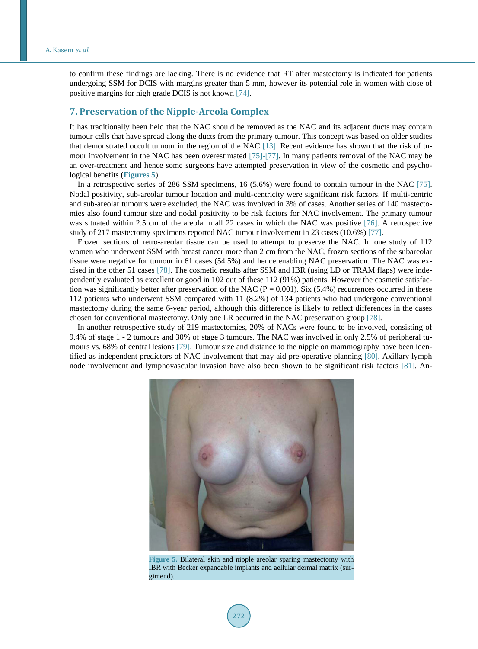to confirm these findings are lacking. There is no evidence that RT after mastectomy is indicated for patients undergoing SSM for DCIS with margins greater than 5 mm, however its potential role in women with close of positive margins for high grade DCIS is not known [\[74\].](#page-15-8)

# **7. Preservation of the Nipple-Areola Complex**

It has traditionally been held that the NAC should be removed as the NAC and its adjacent ducts may contain tumour cells that have spread along the ducts from the primary tumour. This concept was based on older studies that demonstrated occult tumour in the region of the NAC [\[13\].](#page-12-9) Recent evidence has shown that the risk of tumour involvement in the NAC has been overestimated [\[75\]](#page-15-9)[-\[77\].](#page-15-10) In many patients removal of the NAC may be an over-treatment and hence some surgeons have attempted preservation in view of the cosmetic and psychological benefits (**[Figures 5](#page-8-0)**).

In a retrospective series of 286 SSM specimens, 16 (5.6%) were found to contain tumour in the NAC [\[75\].](#page-15-9) Nodal positivity, sub-areolar tumour location and multi-centricity were significant risk factors. If multi-centric and sub-areolar tumours were excluded, the NAC was involved in 3% of cases. Another series of 140 mastectomies also found tumour size and nodal positivity to be risk factors for NAC involvement. The primary tumour was situated within 2.5 cm of the areola in all 22 cases in which the NAC was positive [\[76\].](#page-15-11) A retrospective study of 217 mastectomy specimens reported NAC tumour involvement in 23 cases (10.6%) [\[77\].](#page-15-10)

Frozen sections of retro-areolar tissue can be used to attempt to preserve the NAC. In one study of 112 women who underwent SSM with breast cancer more than 2 cm from the NAC, frozen sections of the subareolar tissue were negative for tumour in 61 cases (54.5%) and hence enabling NAC preservation. The NAC was excised in the other 51 cases [\[78\].](#page-15-12) The cosmetic results after SSM and IBR (using LD or TRAM flaps) were independently evaluated as excellent or good in 102 out of these 112 (91%) patients. However the cosmetic satisfaction was significantly better after preservation of the NAC ( $P = 0.001$ ). Six (5.4%) recurrences occurred in these 112 patients who underwent SSM compared with 11 (8.2%) of 134 patients who had undergone conventional mastectomy during the same 6-year period, although this difference is likely to reflect differences in the cases chosen for conventional mastectomy. Only one LR occurred in the NAC preservation group [\[78\].](#page-15-12)

<span id="page-8-0"></span>In another retrospective study of 219 mastectomies, 20% of NACs were found to be involved, consisting of 9.4% of stage 1 - 2 tumours and 30% of stage 3 tumours. The NAC was involved in only 2.5% of peripheral tu-mours vs. 68% of central lesions [\[79\].](#page-15-13) Tumour size and distance to the nipple on mammography have been identified as independent predictors of NAC involvement that may aid pre-operative planning [\[80\].](#page-15-14) Axillary lymph node involvement and lymphovascular invasion have also been shown to be significant risk factors [\[81\].](#page-15-15) An-



**Figure 5.** Bilateral skin and nipple areolar sparing mastectomy with IBR with Becker expandable implants and aellular dermal matrix (surgimend).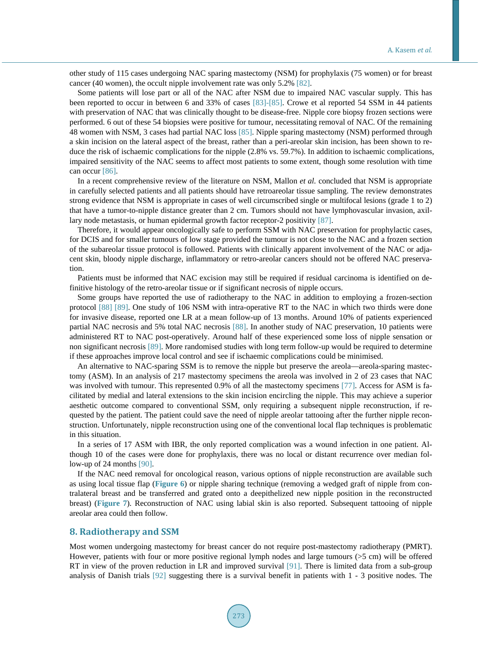other study of 115 cases undergoing NAC sparing mastectomy (NSM) for prophylaxis (75 women) or for breast cancer (40 women), the occult nipple involvement rate was only 5.2[% \[82\].](#page-15-16)

Some patients will lose part or all of the NAC after NSM due to impaired NAC vascular supply. This has been reported to occur in between 6 and 33% of cases [\[83\]](#page-15-17)[-\[85\].](#page-16-0) Crowe et al reported 54 SSM in 44 patients with preservation of NAC that was clinically thought to be disease-free. Nipple core biopsy frozen sections were performed. 6 out of these 54 biopsies were positive for tumour, necessitating removal of NAC. Of the remaining 48 women with NSM, 3 cases had partial NAC loss [\[85\].](#page-16-0) Nipple sparing mastectomy (NSM) performed through a skin incision on the lateral aspect of the breast, rather than a peri-areolar skin incision, has been shown to reduce the risk of ischaemic complications for the nipple  $(2.8\% \text{ vs. } 59.7\%)$ . In addition to ischaemic complications, impaired sensitivity of the NAC seems to affect most patients to some extent, though some resolution with time can occur [\[86\].](#page-16-1) 

In a recent comprehensive review of the literature on NSM, Mallon *et al.* concluded that NSM is appropriate in carefully selected patients and all patients should have retroareolar tissue sampling. The review demonstrates strong evidence that NSM is appropriate in cases of well circumscribed single or multifocal lesions (grade 1 to 2) that have a tumor-to-nipple distance greater than 2 cm. Tumors should not have lymphovascular invasion, axillary node metastasis, or human epidermal growth factor receptor-2 positivity [\[87\].](#page-16-2)

Therefore, it would appear oncologically safe to perform SSM with NAC preservation for prophylactic cases, for DCIS and for smaller tumours of low stage provided the tumour is not close to the NAC and a frozen section of the subareolar tissue protocol is followed. Patients with clinically apparent involvement of the NAC or adjacent skin, bloody nipple discharge, inflammatory or retro-areolar cancers should not be offered NAC preservation.

Patients must be informed that NAC excision may still be required if residual carcinoma is identified on definitive histology of the retro-areolar tissue or if significant necrosis of nipple occurs.

Some groups have reported the use of radiotherapy to the NAC in addition to employing a frozen-section protocol [\[88\]](#page-16-3) [\[89\].](#page-16-4) One study of 106 NSM with intra-operative RT to the NAC in which two thirds were done for invasive disease, reported one LR at a mean follow-up of 13 months. Around 10% of patients experienced partial NAC necrosis and 5% total NAC necrosis [\[88\].](#page-16-3) In another study of NAC preservation, 10 patients were administered RT to NAC post-operatively. Around half of these experienced some loss of nipple sensation or non significant necrosis [\[89\].](#page-16-4) More randomised studies with long term follow-up would be required to determine if these approaches improve local control and see if ischaemic complications could be minimised.

An alternative to NAC-sparing SSM is to remove the nipple but preserve the areola—areola-sparing mastectomy (ASM). In an analysis of 217 mastectomy specimens the areola was involved in 2 of 23 cases that NAC was involved with tumour. This represented 0.9% of all the mastectomy specimens [\[77\].](#page-15-10) Access for ASM is facilitated by medial and lateral extensions to the skin incision encircling the nipple. This may achieve a superior aesthetic outcome compared to conventional SSM, only requiring a subsequent nipple reconstruction, if requested by the patient. The patient could save the need of nipple areolar tattooing after the further nipple reconstruction. Unfortunately, nipple reconstruction using one of the conventional local flap techniques is problematic in this situation.

In a series of 17 ASM with IBR, the only reported complication was a wound infection in one patient. Although 10 of the cases were done for prophylaxis, there was no local or distant recurrence over median follow-up of 24 months [\[90\].](#page-16-5)

If the NAC need removal for oncological reason, various options of nipple reconstruction are available such as using local tissue flap (**[Figure 6](#page-10-0)**) or nipple sharing technique (removing a wedged graft of nipple from contralateral breast and be transferred and grated onto a deepithelized new nipple position in the reconstructed breast) (**[Figure](#page-10-1) 7**). Reconstruction of NAC using labial skin is also reported. Subsequent tattooing of nipple areolar area could then follow.

#### **8. Radiotherapy and SSM**

Most women undergoing mastectomy for breast cancer do not require post-mastectomy radiotherapy (PMRT). However, patients with four or more positive regional lymph nodes and large tumours (>5 cm) will be offered RT in view of the proven reduction in LR and improved survival [\[91\].](#page-16-6) There is limited data from a sub-group analysis of Danish trials [\[92\]](#page-16-7) suggesting there is a survival benefit in patients with 1 - 3 positive nodes. The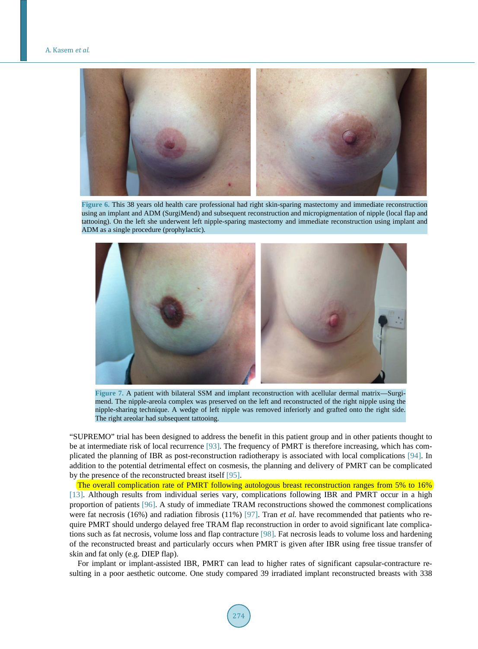<span id="page-10-0"></span>

**Figure 6.** This 38 years old health care professional had right skin-sparing mastectomy and immediate reconstruction using an implant and ADM (SurgiMend) and subsequent reconstruction and micropigmentation of nipple (local flap and tattooing). On the left she underwent left nipple-sparing mastectomy and immediate reconstruction using implant and ADM as a single procedure (prophylactic).

<span id="page-10-1"></span>

**Figure 7.** A patient with bilateral SSM and implant reconstruction with acellular dermal matrix—Surgimend. The nipple-areola complex was preserved on the left and reconstructed of the right nipple using the nipple-sharing technique. A wedge of left nipple was removed inferiorly and grafted onto the right side. The right areolar had subsequent tattooing.

"SUPREMO" trial has been designed to address the benefit in this patient group and in other patients thought to be at intermediate risk of local recurrence [\[93\].](#page-16-8) The frequency of PMRT is therefore increasing, which has complicated the planning of IBR as post-reconstruction radiotherapy is associated with local complications [\[94\].](#page-16-9) In addition to the potential detrimental effect on cosmesis, the planning and delivery of PMRT can be complicated by the presence of the reconstructed breast itself [\[95\].](#page-16-10)

The overall complication rate of PMRT following autologous breast reconstruction ranges from 5% to 16% [\[13\].](#page-12-9) Although results from individual series vary, complications following IBR and PMRT occur in a high proportion of patients [\[96\].](#page-16-11) A study of immediate TRAM reconstructions showed the commonest complications were fat necrosis (16%) and radiation fibrosis (11%) [\[97\].](#page-16-12) Tran *et al.* have recommended that patients who require PMRT should undergo delayed free TRAM flap reconstruction in order to avoid significant late complications such as fat necrosis, volume loss and flap contracture [\[98\].](#page-16-13) Fat necrosis leads to volume loss and hardening of the reconstructed breast and particularly occurs when PMRT is given after IBR using free tissue transfer of skin and fat only (e.g. DIEP flap).

For implant or implant-assisted IBR, PMRT can lead to higher rates of significant capsular-contracture resulting in a poor aesthetic outcome. One study compared 39 irradiated implant reconstructed breasts with 338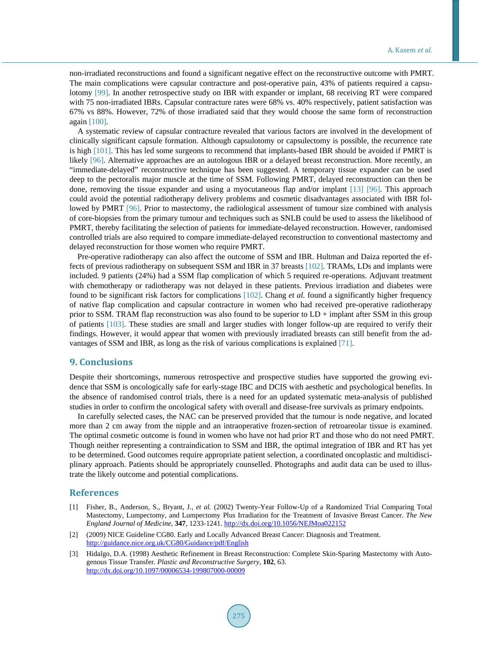non-irradiated reconstructions and found a significant negative effect on the reconstructive outcome with PMRT. The main complications were capsular contracture and post-operative pain, 43% of patients required a capsulotomy [\[99\].](#page-16-14) In another retrospective study on IBR with expander or implant, 68 receiving RT were compared with 75 non-irradiated IBRs. Capsular contracture rates were 68% vs. 40% respectively, patient satisfaction was 67% vs 88%. However, 72% of those irradiated said that they would choose the same form of reconstruction again [\[100\].](#page-16-15)

A systematic review of capsular contracture revealed that various factors are involved in the development of clinically significant capsule formation. Although capsulotomy or capsulectomy is possible, the recurrence rate is high [\[101\].](#page-16-16) This has led some surgeons to recommend that implants-based IBR should be avoided if PMRT is likely [\[96\].](#page-16-11) Alternative approaches are an autologous IBR or a delayed breast reconstruction. More recently, an "immediate-delayed" reconstructive technique has been suggested. A temporary tissue expander can be used deep to the pectoralis major muscle at the time of SSM. Following PMRT, delayed reconstruction can then be done, removing the tissue expander and using a myocutaneous flap and/or implant [\[13\]](#page-12-9) [\[96\].](#page-16-11) This approach could avoid the potential radiotherapy delivery problems and cosmetic disadvantages associated with IBR fol-lowed by PMRT [\[96\].](#page-16-11) Prior to mastectomy, the radiological assessment of tumour size combined with analysis of core-biopsies from the primary tumour and techniques such as SNLB could be used to assess the likelihood of PMRT, thereby facilitating the selection of patients for immediate-delayed reconstruction. However, randomised controlled trials are also required to compare immediate-delayed reconstruction to conventional mastectomy and delayed reconstruction for those women who require PMRT.

Pre-operative radiotherapy can also affect the outcome of SSM and IBR. Hultman and Daiza reported the effects of previous radiotherapy on subsequent SSM and IBR in 37 breasts [\[102\].](#page-16-17) TRAMs, LDs and implants were included. 9 patients (24%) had a SSM flap complication of which 5 required re-operations. Adjuvant treatment with chemotherapy or radiotherapy was not delayed in these patients. Previous irradiation and diabetes were found to be significant risk factors for complications [\[102\].](#page-16-17) Chang *et al.* found a significantly higher frequency of native flap complication and capsular contracture in women who had received pre-operative radiotherapy prior to SSM. TRAM flap reconstruction was also found to be superior to LD + implant after SSM in this group of patients [\[103\].](#page-16-18) These studies are small and larger studies with longer follow-up are required to verify their findings. However, it would appear that women with previously irradiated breasts can still benefit from the advantages of SSM and IBR, as long as the risk of various complications is explained [\[71\].](#page-15-5)

#### **9. Conclusions**

Despite their shortcomings, numerous retrospective and prospective studies have supported the growing evidence that SSM is oncologically safe for early-stage IBC and DCIS with aesthetic and psychological benefits. In the absence of randomised control trials, there is a need for an updated systematic meta-analysis of published studies in order to confirm the oncological safety with overall and disease-free survivals as primary endpoints.

In carefully selected cases, the NAC can be preserved provided that the tumour is node negative, and located more than 2 cm away from the nipple and an intraoperative frozen-section of retroareolar tissue is examined. The optimal cosmetic outcome is found in women who have not had prior RT and those who do not need PMRT. Though neither representing a contraindication to SSM and IBR, the optimal integration of IBR and RT has yet to be determined. Good outcomes require appropriate patient selection, a coordinated oncoplastic and multidisciplinary approach. Patients should be appropriately counselled. Photographs and audit data can be used to illustrate the likely outcome and potential complications.

#### **References**

- <span id="page-11-0"></span>[1] Fisher, B., Anderson, S., Bryant, J., *et al.* (2002) Twenty-Year Follow-Up of a Randomized Trial Comparing Total Mastectomy, Lumpectomy, and Lumpectomy Plus Irradiation for the Treatment of Invasive Breast Cancer. *The New England Journal of Medicine*, **347**, 1233-1241. <http://dx.doi.org/10.1056/NEJMoa022152>
- <span id="page-11-1"></span>[2] (2009) NICE Guideline CG80. Early and Locally Advanced Breast Cancer: Diagnosis and Treatment. <http://guidance.nice.org.uk/CG80/Guidance/pdf/English>
- <span id="page-11-2"></span>[3] Hidalgo, D.A. (1998) Aesthetic Refinement in Breast Reconstruction: Complete Skin-Sparing Mastectomy with Autogenous Tissue Transfer. *Plastic and Reconstructive Surgery*, **102**, 63. <http://dx.doi.org/10.1097/00006534-199807000-00009>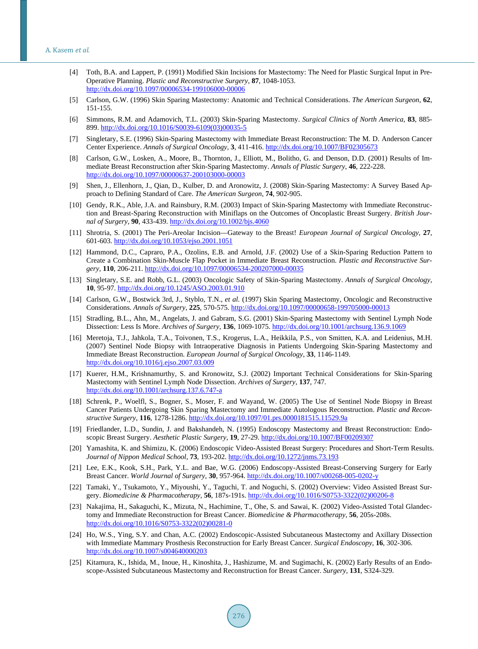- <span id="page-12-0"></span>[4] Toth, B.A. and Lappert, P. (1991) Modified Skin Incisions for Mastectomy: The Need for Plastic Surgical Input in Pre-Operative Planning. *Plastic and Reconstructive Surgery*, **87**, 1048-1053. <http://dx.doi.org/10.1097/00006534-199106000-00006>
- <span id="page-12-1"></span>[5] Carlson, G.W. (1996) Skin Sparing Mastectomy: Anatomic and Technical Considerations. *The American Surgeon*, **62**, 151-155.
- <span id="page-12-2"></span>[6] Simmons, R.M. and Adamovich, T.L. (2003) Skin-Sparing Mastectomy. *Surgical Clinics of North America*, **83**, 885- 899. [http://dx.doi.org/10.1016/S0039-6109\(03\)00035-5](http://dx.doi.org/10.1016/S0039-6109(03)00035-5)
- <span id="page-12-3"></span>[7] Singletary, S.E. (1996) Skin-Sparing Mastectomy with Immediate Breast Reconstruction: The M. D. Anderson Cancer Center Experience. *Annals of Surgical Oncology*, **3**, 411-416. <http://dx.doi.org/10.1007/BF02305673>
- <span id="page-12-4"></span>[8] Carlson, G.W., Losken, A., Moore, B., Thornton, J., Elliott, M., Bolitho, G. and Denson, D.D. (2001) Results of Immediate Breast Reconstruction after Skin-Sparing Mastectomy. *Annals of Plastic Surgery*, **46**, 222-228. <http://dx.doi.org/10.1097/00000637-200103000-00003>
- <span id="page-12-5"></span>[9] Shen, J., Ellenhorn, J., Qian, D., Kulber, D. and Aronowitz, J. (2008) Skin-Sparing Mastectomy: A Survey Based Approach to Defining Standard of Care. *The American Surgeon*, **74**, 902-905.
- <span id="page-12-6"></span>[10] Gendy, R.K., Able, J.A. and Rainsbury, R.M. (2003) Impact of Skin-Sparing Mastectomy with Immediate Reconstruction and Breast-Sparing Reconstruction with Miniflaps on the Outcomes of Oncoplastic Breast Surgery. *British Journal of Surgery*, **90**, 433-439. <http://dx.doi.org/10.1002/bjs.4060>
- <span id="page-12-7"></span>[11] Shrotria, S. (2001) The Peri-Areolar Incision—Gateway to the Breast! *European Journal of Surgical Oncology*, **27**, 601-603. <http://dx.doi.org/10.1053/ejso.2001.1051>
- <span id="page-12-8"></span>[12] Hammond, D.C., Capraro, P.A., Ozolins, E.B. and Arnold, J.F. (2002) Use of a Skin-Sparing Reduction Pattern to Create a Combination Skin-Muscle Flap Pocket in Immediate Breast Reconstruction. *Plastic and Reconstructive Surgery*, **110**, 206-211. <http://dx.doi.org/10.1097/00006534-200207000-00035>
- <span id="page-12-9"></span>[13] Singletary, S.E. and Robb, G.L. (2003) Oncologic Safety of Skin-Sparing Mastectomy. *Annals of Surgical Oncology*, **10**, 95-97. <http://dx.doi.org/10.1245/ASO.2003.01.910>
- <span id="page-12-10"></span>[14] Carlson, G.W., Bostwick 3rd, J., Styblo, T.N., *et al.* (1997) Skin Sparing Mastectomy, Oncologic and Reconstructive Considerations. *Annals of Surgery*, **225**, 570-575. <http://dx.doi.org/10.1097/00000658-199705000-00013>
- <span id="page-12-11"></span>[15] Stradling, B.L., Ahn, M., Angelats, J. and Gabram, S.G. (2001) Skin-Sparing Mastectomy with Sentinel Lymph Node Dissection: Less Is More. *Archives of Surgery*, **136**, 1069-1075. <http://dx.doi.org/10.1001/archsurg.136.9.1069>
- <span id="page-12-12"></span>[16] Meretoja, T.J., Jahkola, T.A., Toivonen, T.S., Krogerus, L.A., Heikkila, P.S., von Smitten, K.A. and Leidenius, M.H. (2007) Sentinel Node Biopsy with Intraoperative Diagnosis in Patients Undergoing Skin-Sparing Mastectomy and Immediate Breast Reconstruction. *European Journal of Surgical Oncology*, **33**, 1146-1149. <http://dx.doi.org/10.1016/j.ejso.2007.03.009>
- <span id="page-12-13"></span>[17] Kuerer, H.M., Krishnamurthy, S. and Kronowitz, S.J. (2002) Important Technical Considerations for Skin-Sparing Mastectomy with Sentinel Lymph Node Dissection. *Archives of Surgery*, **137**, 747. <http://dx.doi.org/10.1001/archsurg.137.6.747-a>
- <span id="page-12-14"></span>[18] Schrenk, P., Woelfl, S., Bogner, S., Moser, F. and Wayand, W. (2005) The Use of Sentinel Node Biopsy in Breast Cancer Patients Undergoing Skin Sparing Mastectomy and Immediate Autologous Reconstruction. *Plastic and Reconstructive Surgery*, **116**, 1278-1286. <http://dx.doi.org/10.1097/01.prs.0000181515.11529.9a>
- <span id="page-12-15"></span>[19] Friedlander, L.D., Sundin, J. and Bakshandeh, N. (1995) Endoscopy Mastectomy and Breast Reconstruction: Endoscopic Breast Surgery. *Aesthetic Plastic Surgery*, **19**, 27-29. <http://dx.doi.org/10.1007/BF00209307>
- <span id="page-12-16"></span>[20] Yamashita, K. and Shimizu, K. (2006) Endoscopic Video-Assisted Breast Surgery: Procedures and Short-Term Results. *Journal of Nippon Medical School*, **73**, 193-202. <http://dx.doi.org/10.1272/jnms.73.193>
- <span id="page-12-17"></span>[21] Lee, E.K., Kook, S.H., Park, Y.L. and Bae, W.G. (2006) Endoscopy-Assisted Breast-Conserving Surgery for Early Breast Cancer. *World Journal of Surgery*, **30**, 957-964. <http://dx.doi.org/10.1007/s00268-005-0202-y>
- <span id="page-12-18"></span>[22] Tamaki, Y., Tsukamoto, Y., Miyoushi, Y., Taguchi, T. and Noguchi, S. (2002) Overview: Video Assisted Breast Surgery. *Biomedicine & Pharmacotherapy*, **56**, 187s-191s. [http://dx.doi.org/10.1016/S0753-3322\(02\)00206-8](http://dx.doi.org/10.1016/S0753-3322(02)00206-8)
- <span id="page-12-19"></span>[23] Nakajima, H., Sakaguchi, K., Mizuta, N., Hachimine, T., Ohe, S. and Sawai, K. (2002) Video-Assisted Total Glandectomy and Immediate Reconstruction for Breast Cancer. *Biomedicine & Pharmacotherapy*, **56**, 205s-208s. [http://dx.doi.org/10.1016/S0753-3322\(02\)00281-0](http://dx.doi.org/10.1016/S0753-3322(02)00281-0)
- <span id="page-12-20"></span>[24] Ho, W.S., Ying, S.Y. and Chan, A.C. (2002) Endoscopic-Assisted Subcutaneous Mastectomy and Axillary Dissection with Immediate Mammary Prosthesis Reconstruction for Early Breast Cancer. *Surgical Endoscopy*, **16**, 302-306. <http://dx.doi.org/10.1007/s004640000203>
- <span id="page-12-21"></span>[25] Kitamura, K., Ishida, M., Inoue, H., Kinoshita, J., Hashizume, M. and Sugimachi, K. (2002) Early Results of an Endoscope-Assisted Subcutaneous Mastectomy and Reconstruction for Breast Cancer. *Surgery*, **131**, S324-329.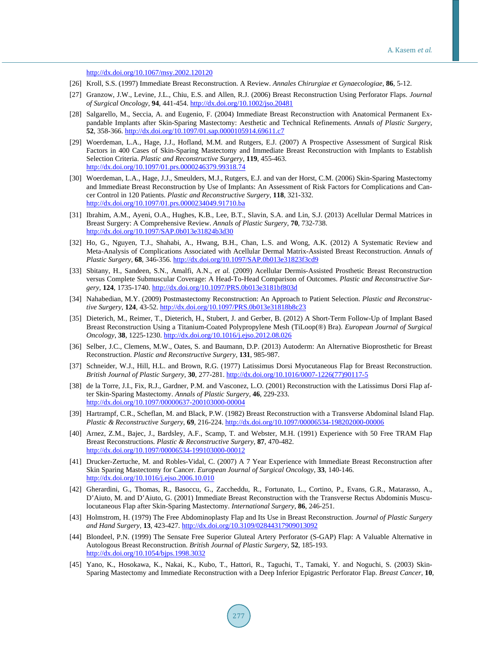```
http://dx.doi.org/10.1067/msy.2002.120120
```
- <span id="page-13-0"></span>[26] Kroll, S.S. (1997) Immediate Breast Reconstruction. A Review. *Annales Chirurgiae et Gynaecologiae*, **86**, 5-12.
- <span id="page-13-1"></span>[27] Granzow, J.W., Levine, J.L., Chiu, E.S. and Allen, R.J. (2006) Breast Reconstruction Using Perforator Flaps. *Journal of Surgical Oncology*, **94**, 441-454. <http://dx.doi.org/10.1002/jso.20481>
- <span id="page-13-2"></span>[28] Salgarello, M., Seccia, A. and Eugenio, F. (2004) Immediate Breast Reconstruction with Anatomical Permanent Expandable Implants after Skin-Sparing Mastectomy: Aesthetic and Technical Refinements. *Annals of Plastic Surgery*, **52**, 358-366. <http://dx.doi.org/10.1097/01.sap.0000105914.69611.c7>
- <span id="page-13-3"></span>[29] Woerdeman, L.A., Hage, J.J., Hofland, M.M. and Rutgers, E.J. (2007) A Prospective Assessment of Surgical Risk Factors in 400 Cases of Skin-Sparing Mastectomy and Immediate Breast Reconstruction with Implants to Establish Selection Criteria. *Plastic and Reconstructive Surgery*, **119**, 455-463. <http://dx.doi.org/10.1097/01.prs.0000246379.99318.74>
- <span id="page-13-4"></span>[30] Woerdeman, L.A., Hage, J.J., Smeulders, M.J., Rutgers, E.J. and van der Horst, C.M. (2006) Skin-Sparing Mastectomy and Immediate Breast Reconstruction by Use of Implants: An Assessment of Risk Factors for Complications and Cancer Control in 120 Patients. *Plastic and Reconstructive Surgery*, **118**, 321-332. <http://dx.doi.org/10.1097/01.prs.0000234049.91710.ba>
- <span id="page-13-5"></span>[31] Ibrahim, A.M., Ayeni, O.A., Hughes, K.B., Lee, B.T., Slavin, S.A. and Lin, S.J. (2013) Acellular Dermal Matrices in Breast Surgery: A Comprehensive Review. *Annals of Plastic Surgery*, **70**, 732-738. <http://dx.doi.org/10.1097/SAP.0b013e31824b3d30>
- <span id="page-13-6"></span>[32] Ho, G., Nguyen, T.J., Shahabi, A., Hwang, B.H., Chan, L.S. and Wong, A.K. (2012) A Systematic Review and Meta-Analysis of Complications Associated with Acellular Dermal Matrix-Assisted Breast Reconstruction. *Annals of Plastic Surgery*, **68**, 346-356. <http://dx.doi.org/10.1097/SAP.0b013e31823f3cd9>
- <span id="page-13-7"></span>[33] Sbitany, H., Sandeen, S.N., Amalfi, A.N., *et al.* (2009) Acellular Dermis-Assisted Prosthetic Breast Reconstruction versus Complete Submuscular Coverage: A Head-To-Head Comparison of Outcomes. *Plastic and Reconstructive Surgery*, **124**, 1735-1740. <http://dx.doi.org/10.1097/PRS.0b013e3181bf803d>
- <span id="page-13-8"></span>[34] Nahabedian, M.Y. (2009) Postmastectomy Reconstruction: An Approach to Patient Selection. *Plastic and Reconstructive Surgery*, **124**, 43-52. <http://dx.doi.org/10.1097/PRS.0b013e31818b8c23>
- <span id="page-13-9"></span>[35] Dieterich, M., Reimer, T., Dieterich, H., Stubert, J. and Gerber, B. (2012) A Short-Term Follow-Up of Implant Based Breast Reconstruction Using a Titanium-Coated Polypropylene Mesh (TiLoop(®) Bra). *European Journal of Surgical Oncology*, **38**, 1225-1230. <http://dx.doi.org/10.1016/j.ejso.2012.08.026>
- <span id="page-13-10"></span>[36] Selber, J.C., Clemens, M.W., Oates, S. and Baumann, D.P. (2013) Autoderm: An Alternative Bioprosthetic for Breast Reconstruction. *Plastic and Reconstructive Surgery*, **131**, 985-987.
- <span id="page-13-11"></span>[37] Schneider, W.J., Hill, H.L. and Brown, R.G. (1977) Latissimus Dorsi Myocutaneous Flap for Breast Reconstruction. *British Journal of Plastic Surgery*, **30**, 277-281. [http://dx.doi.org/10.1016/0007-1226\(77\)90117-5](http://dx.doi.org/10.1016/0007-1226(77)90117-5)
- <span id="page-13-12"></span>[38] de la Torre, J.I., Fix, R.J., Gardner, P.M. and Vasconez, L.O. (2001) Reconstruction with the Latissimus Dorsi Flap after Skin-Sparing Mastectomy. *Annals of Plastic Surgery*, **46**, 229-233. <http://dx.doi.org/10.1097/00000637-200103000-00004>
- <span id="page-13-13"></span>[39] Hartrampf, C.R., Scheflan, M. and Black, P.W. (1982) Breast Reconstruction with a Transverse Abdominal Island Flap. *Plastic & Reconstructive Surgery*, **69**, 216-224. <http://dx.doi.org/10.1097/00006534-198202000-00006>
- <span id="page-13-14"></span>[40] Arnez, Z.M., Bajec, J., Bardsley, A.F., Scamp, T. and Webster, M.H. (1991) Experience with 50 Free TRAM Flap Breast Reconstructions. *Plastic & Reconstructive Surgery*, **87**, 470-482. <http://dx.doi.org/10.1097/00006534-199103000-00012>
- <span id="page-13-15"></span>[41] Drucker-Zertuche, M. and Robles-Vidal, C. (2007) A 7 Year Experience with Immediate Breast Reconstruction after Skin Sparing Mastectomy for Cancer. *European Journal of Surgical Oncology*, **33**, 140-146. <http://dx.doi.org/10.1016/j.ejso.2006.10.010>
- <span id="page-13-16"></span>[42] Gherardini, G., Thomas, R., Basoccu, G., Zaccheddu, R., Fortunato, L., Cortino, P., Evans, G.R., Matarasso, A., D'Aiuto, M. and D'Aiuto, G. (2001) Immediate Breast Reconstruction with the Transverse Rectus Abdominis Musculocutaneous Flap after Skin-Sparing Mastectomy. *International Surgery*, **86**, 246-251.
- <span id="page-13-17"></span>[43] Holmstrom, H. (1979) The Free Abdominoplasty Flap and Its Use in Breast Reconstruction. *Journal of Plastic Surgery and Hand Surgery*, **13**, 423-427. <http://dx.doi.org/10.3109/02844317909013092>
- <span id="page-13-18"></span>[44] Blondeel, P.N. (1999) The Sensate Free Superior Gluteal Artery Perforator (S-GAP) Flap: A Valuable Alternative in Autologous Breast Reconstruction. *British Journal of Plastic Surgery*, **52**, 185-193. <http://dx.doi.org/10.1054/bjps.1998.3032>
- <span id="page-13-19"></span>[45] Yano, K., Hosokawa, K., Nakai, K., Kubo, T., Hattori, R., Taguchi, T., Tamaki, Y. and Noguchi, S. (2003) Skin-Sparing Mastectomy and Immediate Reconstruction with a Deep Inferior Epigastric Perforator Flap. *Breast Cancer*, **10**,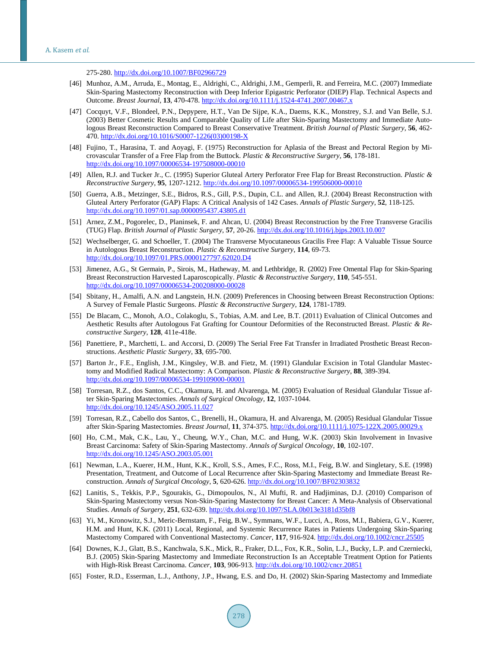275-280. <http://dx.doi.org/10.1007/BF02966729>

- <span id="page-14-0"></span>[46] Munhoz, A.M., Arruda, E., Montag, E., Aldrighi, C., Aldrighi, J.M., Gemperli, R. and Ferreira, M.C. (2007) Immediate Skin-Sparing Mastectomy Reconstruction with Deep Inferior Epigastric Perforator (DIEP) Flap. Technical Aspects and Outcome. *Breast Journal*, **13**, 470-478[. http://dx.doi.org/10.1111/j.1524-4741.2007.00467.x](http://dx.doi.org/10.1111/j.1524-4741.2007.00467.x)
- <span id="page-14-1"></span>[47] Cocquyt, V.F., Blondeel, P.N., Depypere, H.T., Van De Sijpe, K.A., Daems, K.K., Monstrey, S.J. and Van Belle, S.J. (2003) Better Cosmetic Results and Comparable Quality of Life after Skin-Sparing Mastectomy and Immediate Autologous Breast Reconstruction Compared to Breast Conservative Treatment. *British Journal of Plastic Surgery*, **56**, 462- 470. [http://dx.doi.org/10.1016/S0007-1226\(03\)00198-X](http://dx.doi.org/10.1016/S0007-1226(03)00198-X)
- <span id="page-14-2"></span>[48] Fujino, T., Harasina, T. and Aoyagi, F. (1975) Reconstruction for Aplasia of the Breast and Pectoral Region by Microvascular Transfer of a Free Flap from the Buttock. *Plastic & Reconstructive Surgery*, **56**, 178-181. <http://dx.doi.org/10.1097/00006534-197508000-00010>
- <span id="page-14-3"></span>[49] Allen, R.J. and Tucker Jr., C. (1995) Superior Gluteal Artery Perforator Free Flap for Breast Reconstruction. *Plastic & Reconstructive Surgery*, **95**, 1207-1212. <http://dx.doi.org/10.1097/00006534-199506000-00010>
- <span id="page-14-4"></span>[50] Guerra, A.B., Metzinger, S.E., Bidros, R.S., Gill, P.S., Dupin, C.L. and Allen, R.J. (2004) Breast Reconstruction with Gluteal Artery Perforator (GAP) Flaps: A Critical Analysis of 142 Cases. *Annals of Plastic Surgery*, **52**, 118-125. <http://dx.doi.org/10.1097/01.sap.0000095437.43805.d1>
- <span id="page-14-5"></span>[51] Arnez, Z.M., Pogorelec, D., Planinsek, F. and Ahcan, U. (2004) Breast Reconstruction by the Free Transverse Gracilis (TUG) Flap. *British Journal of Plastic Surgery*, **57**, 20-26[. http://dx.doi.org/10.1016/j.bjps.2003.10.007](http://dx.doi.org/10.1016/j.bjps.2003.10.007)
- <span id="page-14-6"></span>[52] Wechselberger, G. and Schoeller, T. (2004) The Transverse Myocutaneous Gracilis Free Flap: A Valuable Tissue Source in Autologous Breast Reconstruction. *Plastic & Reconstructive Surgery*, **114**, 69-73. <http://dx.doi.org/10.1097/01.PRS.0000127797.62020.D4>
- <span id="page-14-7"></span>[53] Jimenez, A.G., St Germain, P., Sirois, M., Hatheway, M. and Lethbridge, R. (2002) Free Omental Flap for Skin-Sparing Breast Reconstruction Harvested Laparoscopically. *Plastic & Reconstructive Surgery*, **110**, 545-551. <http://dx.doi.org/10.1097/00006534-200208000-00028>
- <span id="page-14-8"></span>[54] Sbitany, H., Amalfi, A.N. and Langstein, H.N. (2009) Preferences in Choosing between Breast Reconstruction Options: A Survey of Female Plastic Surgeons. *Plastic & Reconstructive Surgery*, **124**, 1781-1789.
- <span id="page-14-9"></span>[55] De Blacam, C., Monoh, A.O., Colakoglu, S., Tobias, A.M. and Lee, B.T. (2011) Evaluation of Clinical Outcomes and Aesthetic Results after Autologous Fat Grafting for Countour Deformities of the Reconstructed Breast. *Plastic & Reconstructive Surgery*, **128**, 411e-418e.
- <span id="page-14-10"></span>[56] Panettiere, P., Marchetti, L. and Accorsi, D. (2009) The Serial Free Fat Transfer in Irradiated Prosthetic Breast Reconstructions. *Aesthetic Plastic Surgery*, **33**, 695-700.
- <span id="page-14-11"></span>[57] Barton Jr., F.E., English, J.M., Kingsley, W.B. and Fietz, M. (1991) Glandular Excision in Total Glandular Mastectomy and Modified Radical Mastectomy: A Comparison. *Plastic & Reconstructive Surgery*, **88**, 389-394. <http://dx.doi.org/10.1097/00006534-199109000-00001>
- <span id="page-14-12"></span>[58] Torresan, R.Z., dos Santos, C.C., Okamura, H. and Alvarenga, M. (2005) Evaluation of Residual Glandular Tissue after Skin-Sparing Mastectomies. *Annals of Surgical Oncology*, **12**, 1037-1044. <http://dx.doi.org/10.1245/ASO.2005.11.027>
- <span id="page-14-13"></span>[59] Torresan, R.Z., Cabello dos Santos, C., Brenelli, H., Okamura, H. and Alvarenga, M. (2005) Residual Glandular Tissue after Skin-Sparing Mastectomies. *Breast Journal*, **11**, 374-375. <http://dx.doi.org/10.1111/j.1075-122X.2005.00029.x>
- <span id="page-14-14"></span>[60] Ho, C.M., Mak, C.K., Lau, Y., Cheung, W.Y., Chan, M.C. and Hung, W.K. (2003) Skin Involvement in Invasive Breast Carcinoma: Safety of Skin-Sparing Mastectomy. *Annals of Surgical Oncology*, **10**, 102-107. <http://dx.doi.org/10.1245/ASO.2003.05.001>
- <span id="page-14-15"></span>[61] Newman, L.A., Kuerer, H.M., Hunt, K.K., Kroll, S.S., Ames, F.C., Ross, M.I., Feig, B.W. and Singletary, S.E. (1998) Presentation, Treatment, and Outcome of Local Recurrence after Skin-Sparing Mastectomy and Immediate Breast Reconstruction. *Annals of Surgical Oncology*, **5**, 620-626. <http://dx.doi.org/10.1007/BF02303832>
- <span id="page-14-16"></span>[62] Lanitis, S., Tekkis, P.P., Sgourakis, G., Dimopoulos, N., Al Mufti, R. and Hadjiminas, D.J. (2010) Comparison of Skin-Sparing Mastectomy versus Non-Skin-Sparing Mastectomy for Breast Cancer: A Meta-Analysis of Observational Studies. *Annals of Surgery*, **251**, 632-639. <http://dx.doi.org/10.1097/SLA.0b013e3181d35bf8>
- <span id="page-14-17"></span>[63] Yi, M., Kronowitz, S.J., Meric-Bernstam, F., Feig, B.W., Symmans, W.F., Lucci, A., Ross, M.I., Babiera, G.V., Kuerer, H.M. and Hunt, K.K. (2011) Local, Regional, and Systemic Recurrence Rates in Patients Undergoing Skin-Sparing Mastectomy Compared with Conventional Mastectomy. *Cancer*, **117**, 916-924. <http://dx.doi.org/10.1002/cncr.25505>
- <span id="page-14-18"></span>[64] Downes, K.J., Glatt, B.S., Kanchwala, S.K., Mick, R., Fraker, D.L., Fox, K.R., Solin, L.J., Bucky, L.P. and Czerniecki, B.J. (2005) Skin-Sparing Mastectomy and Immediate Reconstruction Is an Acceptable Treatment Option for Patients with High-Risk Breast Carcinoma. *Cancer*, **103**, 906-913. <http://dx.doi.org/10.1002/cncr.20851>
- <span id="page-14-19"></span>[65] Foster, R.D., Esserman, L.J., Anthony, J.P., Hwang, E.S. and Do, H. (2002) Skin-Sparing Mastectomy and Immediate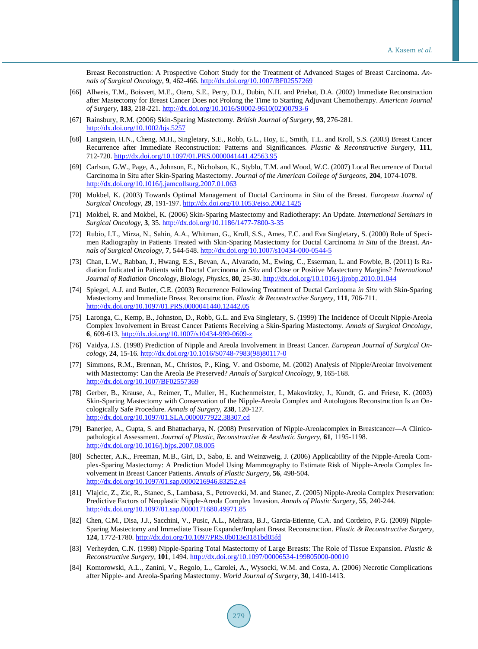Breast Reconstruction: A Prospective Cohort Study for the Treatment of Advanced Stages of Breast Carcinoma. *Annals of Surgical Oncology*, **9**, 462-466. <http://dx.doi.org/10.1007/BF02557269>

- <span id="page-15-0"></span>[66] Allweis, T.M., Boisvert, M.E., Otero, S.E., Perry, D.J., Dubin, N.H. and Priebat, D.A. (2002) Immediate Reconstruction after Mastectomy for Breast Cancer Does not Prolong the Time to Starting Adjuvant Chemotherapy. *American Journal of Surgery*, **183**, 218-221. [http://dx.doi.org/10.1016/S0002-9610\(02\)00793-6](http://dx.doi.org/10.1016/S0002-9610(02)00793-6)
- <span id="page-15-1"></span>[67] Rainsbury, R.M. (2006) Skin-Sparing Mastectomy. *British Journal of Surgery*, **93**, 276-281. <http://dx.doi.org/10.1002/bjs.5257>
- <span id="page-15-2"></span>[68] Langstein, H.N., Cheng, M.H., Singletary, S.E., Robb, G.L., Hoy, E., Smith, T.L. and Kroll, S.S*.* (2003) Breast Cancer Recurrence after Immediate Reconstruction: Patterns and Significances. *Plastic & Reconstructive Surgery*, **111**, 712-720. <http://dx.doi.org/10.1097/01.PRS.0000041441.42563.95>
- <span id="page-15-3"></span>[69] Carlson, G.W., Page, A., Johnson, E., Nicholson, K., Styblo, T.M. and Wood, W.C. (2007) Local Recurrence of Ductal Carcinoma in Situ after Skin-Sparing Mastectomy. *Journal of the American College of Surgeons*, **204**, 1074-1078. <http://dx.doi.org/10.1016/j.jamcollsurg.2007.01.063>
- <span id="page-15-4"></span>[70] Mokbel, K. (2003) Towards Optimal Management of Ductal Carcinoma in Situ of the Breast. *European Journal of Surgical Oncology*, **29**, 191-197. <http://dx.doi.org/10.1053/ejso.2002.1425>
- <span id="page-15-5"></span>[71] Mokbel, R. and Mokbel, K. (2006) Skin-Sparing Mastectomy and Radiotherapy: An Update. *International Seminars in Surgical Oncology*, **3**, 35[. http://dx.doi.org/10.1186/1477-7800-3-35](http://dx.doi.org/10.1186/1477-7800-3-35)
- <span id="page-15-6"></span>[72] Rubio, I.T., Mirza, N., Sahin, A.A., Whitman, G., Kroll, S.S., Ames, F.C. and Eva Singletary, S. (2000) Role of Specimen Radiography in Patients Treated with Skin-Sparing Mastectomy for Ductal Carcinoma *in Situ* of the Breast. *Annals of Surgical Oncology*, **7**, 544-548. <http://dx.doi.org/10.1007/s10434-000-0544-5>
- <span id="page-15-7"></span>[73] Chan, L.W., Rabban, J., Hwang, E.S., Bevan, A., Alvarado, M., Ewing, C., Esserman, L. and Fowble, B. (2011) Is Radiation Indicated in Patients with Ductal Carcinoma *in Situ* and Close or Positive Mastectomy Margins? *International Journal of Radiation Oncology*, *Biology*, *Physics*, **80**, 25-30.<http://dx.doi.org/10.1016/j.ijrobp.2010.01.044>
- <span id="page-15-8"></span>[74] Spiegel, A.J. and Butler, C.E. (2003) Recurrence Following Treatment of Ductal Carcinoma *in Situ* with Skin-Sparing Mastectomy and Immediate Breast Reconstruction. *Plastic & Reconstructive Surgery*, **111**, 706-711. <http://dx.doi.org/10.1097/01.PRS.0000041440.12442.05>
- <span id="page-15-9"></span>[75] Laronga, C., Kemp, B., Johnston, D., Robb, G.L. and Eva Singletary, S. (1999) The Incidence of Occult Nipple-Areola Complex Involvement in Breast Cancer Patients Receiving a Skin-Sparing Mastectomy. *Annals of Surgical Oncology*, **6**, 609-613. <http://dx.doi.org/10.1007/s10434-999-0609-z>
- <span id="page-15-11"></span>[76] Vaidya, J.S. (1998) Prediction of Nipple and Areola Involvement in Breast Cancer. *European Journal of Surgical Oncology*, **24**, 15-16. [http://dx.doi.org/10.1016/S0748-7983\(98\)80117-0](http://dx.doi.org/10.1016/S0748-7983(98)80117-0)
- <span id="page-15-10"></span>[77] Simmons, R.M., Brennan, M., Christos, P., King, V. and Osborne, M. (2002) Analysis of Nipple/Areolar Involvement with Mastectomy: Can the Areola Be Preserved? *Annals of Surgical Oncology*, **9**, 165-168. <http://dx.doi.org/10.1007/BF02557369>
- <span id="page-15-12"></span>[78] Gerber, B., Krause, A., Reimer, T., Muller, H., Kuchenmeister, I., Makovitzky, J., Kundt, G. and Friese, K. (2003) Skin-Sparing Mastectomy with Conservation of the Nipple-Areola Complex and Autologous Reconstruction Is an Oncologically Safe Procedure. *Annals of Surgery*, **238**, 120-127. <http://dx.doi.org/10.1097/01.SLA.0000077922.38307.cd>
- <span id="page-15-13"></span>[79] Banerjee, A., Gupta, S. and Bhattacharya, N. (2008) Preservation of Nipple-Areolacomplex in Breastcancer—A Clinicopathological Assessment. *Journal of Plastic*, *Reconstructive & Aesthetic Surgery*, **61**, 1195-1198. <http://dx.doi.org/10.1016/j.bjps.2007.08.005>
- <span id="page-15-14"></span>[80] Schecter, A.K., Freeman, M.B., Giri, D., Sabo, E. and Weinzweig, J. (2006) Applicability of the Nipple-Areola Complex-Sparing Mastectomy: A Prediction Model Using Mammography to Estimate Risk of Nipple-Areola Complex Involvement in Breast Cancer Patients. *Annals of Plastic Surgery*, **56**, 498-504. <http://dx.doi.org/10.1097/01.sap.0000216946.83252.e4>
- <span id="page-15-15"></span>[81] Vlajcic, Z., Zic, R., Stanec, S., Lambasa, S., Petrovecki, M. and Stanec, Z. (2005) Nipple-Areola Complex Preservation: Predictive Factors of Neoplastic Nipple-Areola Complex Invasion. *Annals of Plastic Surgery*, **55**, 240-244. <http://dx.doi.org/10.1097/01.sap.0000171680.49971.85>
- <span id="page-15-16"></span>[82] Chen, C.M., Disa, J.J., Sacchini, V., Pusic, A.L., Mehrara, B.J., Garcia-Etienne, C.A. and Cordeiro, P.G. (2009) Nipple-Sparing Mastectomy and Immediate Tissue Expander/Implant Breast Reconstruction. *Plastic & Reconstructive Surgery*, **124**, 1772-1780. <http://dx.doi.org/10.1097/PRS.0b013e3181bd05fd>
- <span id="page-15-17"></span>[83] Verheyden, C.N. (1998) Nipple-Sparing Total Mastectomy of Large Breasts: The Role of Tissue Expansion. *Plastic & Reconstructive Surgery*, **101**, 1494. <http://dx.doi.org/10.1097/00006534-199805000-00010>
- [84] Komorowski, A.L., Zanini, V., Regolo, L., Carolei, A., Wysocki, W.M. and Costa, A. (2006) Necrotic Complications after Nipple- and Areola-Sparing Mastectomy. *World Journal of Surgery*, **30**, 1410-1413.